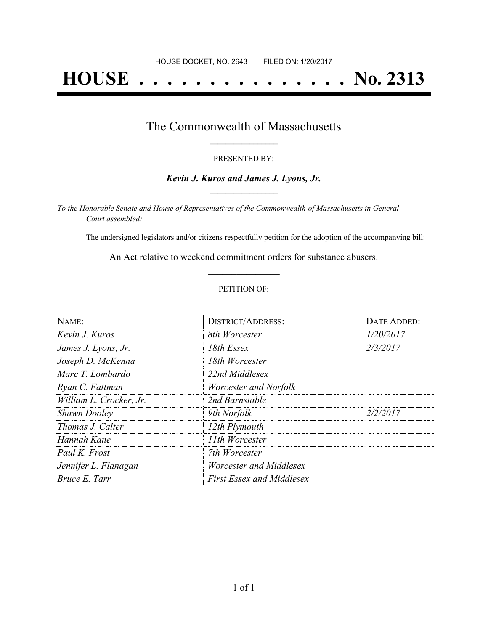# **HOUSE . . . . . . . . . . . . . . . No. 2313**

### The Commonwealth of Massachusetts **\_\_\_\_\_\_\_\_\_\_\_\_\_\_\_\_\_**

#### PRESENTED BY:

#### *Kevin J. Kuros and James J. Lyons, Jr.* **\_\_\_\_\_\_\_\_\_\_\_\_\_\_\_\_\_**

*To the Honorable Senate and House of Representatives of the Commonwealth of Massachusetts in General Court assembled:*

The undersigned legislators and/or citizens respectfully petition for the adoption of the accompanying bill:

An Act relative to weekend commitment orders for substance abusers. **\_\_\_\_\_\_\_\_\_\_\_\_\_\_\_**

#### PETITION OF:

| NAME:                   | <b>DISTRICT/ADDRESS:</b>         | DATE ADDED: |
|-------------------------|----------------------------------|-------------|
| Kevin J. Kuros          | 8th Worcester                    | 1/20/2017   |
| James J. Lyons, Jr.     | 18th Essex                       | 2/3/2017    |
| Joseph D. McKenna       | 18th Worcester                   |             |
| Marc T. Lombardo        | 22nd Middlesex                   |             |
| Ryan C. Fattman         | Worcester and Norfolk            |             |
| William L. Crocker, Jr. | 2nd Barnstable                   |             |
| <b>Shawn Dooley</b>     | 9th Norfolk                      | 2/2/2017    |
| Thomas J. Calter        | 12th Plymouth                    |             |
| Hannah Kane             | 11th Worcester                   |             |
| Paul K. Frost           | 7th Worcester                    |             |
| Jennifer L. Flanagan    | Worcester and Middlesex          |             |
| Bruce E. Tarr           | <b>First Essex and Middlesex</b> |             |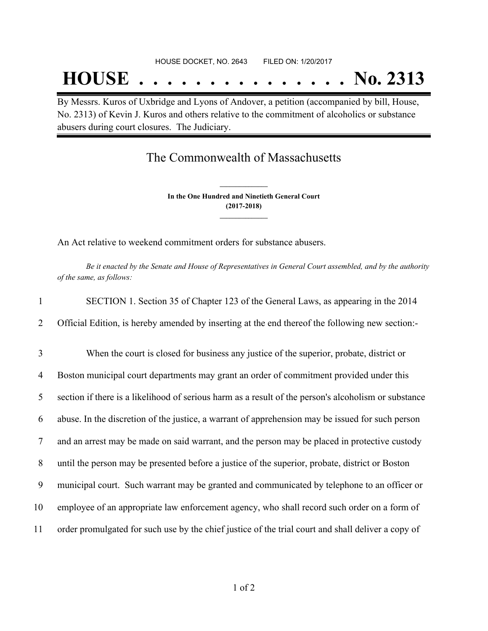## **HOUSE . . . . . . . . . . . . . . . No. 2313**

By Messrs. Kuros of Uxbridge and Lyons of Andover, a petition (accompanied by bill, House, No. 2313) of Kevin J. Kuros and others relative to the commitment of alcoholics or substance abusers during court closures. The Judiciary.

## The Commonwealth of Massachusetts

**In the One Hundred and Ninetieth General Court (2017-2018) \_\_\_\_\_\_\_\_\_\_\_\_\_\_\_**

**\_\_\_\_\_\_\_\_\_\_\_\_\_\_\_**

An Act relative to weekend commitment orders for substance abusers.

Be it enacted by the Senate and House of Representatives in General Court assembled, and by the authority *of the same, as follows:*

| $\mathbf{1}$ | SECTION 1. Section 35 of Chapter 123 of the General Laws, as appearing in the 2014                   |
|--------------|------------------------------------------------------------------------------------------------------|
| 2            | Official Edition, is hereby amended by inserting at the end thereof the following new section:-      |
| 3            | When the court is closed for business any justice of the superior, probate, district or              |
| 4            | Boston municipal court departments may grant an order of commitment provided under this              |
| 5            | section if there is a likelihood of serious harm as a result of the person's alcoholism or substance |
| 6            | abuse. In the discretion of the justice, a warrant of apprehension may be issued for such person     |
| 7            | and an arrest may be made on said warrant, and the person may be placed in protective custody        |
| 8            | until the person may be presented before a justice of the superior, probate, district or Boston      |
| 9            | municipal court. Such warrant may be granted and communicated by telephone to an officer or          |
| 10           | employee of an appropriate law enforcement agency, who shall record such order on a form of          |
| 11           | order promulgated for such use by the chief justice of the trial court and shall deliver a copy of   |
|              |                                                                                                      |